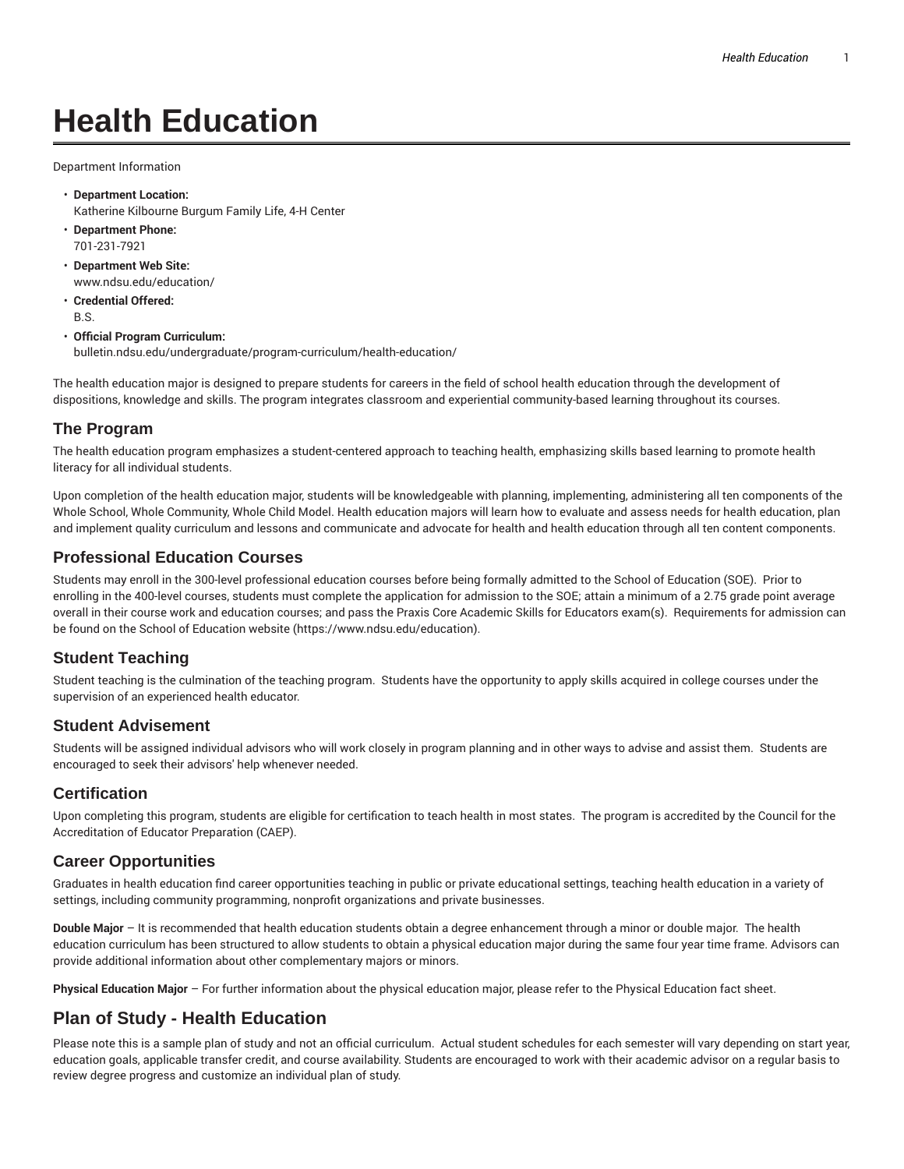# **Health Education**

Department Information

- **Department Location:** Katherine Kilbourne Burgum Family Life, 4-H Center
- **Department Phone:** 701-231-7921
- **Department Web Site:** www.ndsu.edu/education/
- **Credential Offered:** B.S.

#### • **Official Program Curriculum:** bulletin.ndsu.edu/undergraduate/program-curriculum/health-education/

The health education major is designed to prepare students for careers in the field of school health education through the development of dispositions, knowledge and skills. The program integrates classroom and experiential community-based learning throughout its courses.

### **The Program**

The health education program emphasizes a student-centered approach to teaching health, emphasizing skills based learning to promote health literacy for all individual students.

Upon completion of the health education major, students will be knowledgeable with planning, implementing, administering all ten components of the Whole School, Whole Community, Whole Child Model. Health education majors will learn how to evaluate and assess needs for health education, plan and implement quality curriculum and lessons and communicate and advocate for health and health education through all ten content components.

### **Professional Education Courses**

Students may enroll in the 300-level professional education courses before being formally admitted to the School of Education (SOE). Prior to enrolling in the 400-level courses, students must complete the application for admission to the SOE; attain a minimum of a 2.75 grade point average overall in their course work and education courses; and pass the Praxis Core Academic Skills for Educators exam(s). Requirements for admission can be found on the School of Education website (https://www.ndsu.edu/education).

## **Student Teaching**

Student teaching is the culmination of the teaching program. Students have the opportunity to apply skills acquired in college courses under the supervision of an experienced health educator.

#### **Student Advisement**

Students will be assigned individual advisors who will work closely in program planning and in other ways to advise and assist them. Students are encouraged to seek their advisors' help whenever needed.

#### **Certification**

Upon completing this program, students are eligible for certification to teach health in most states. The program is accredited by the Council for the Accreditation of Educator Preparation (CAEP).

## **Career Opportunities**

Graduates in health education find career opportunities teaching in public or private educational settings, teaching health education in a variety of settings, including community programming, nonprofit organizations and private businesses.

**Double Major** – It is recommended that health education students obtain a degree enhancement through a minor or double major. The health education curriculum has been structured to allow students to obtain a physical education major during the same four year time frame. Advisors can provide additional information about other complementary majors or minors.

**Physical Education Major** – For further information about the physical education major, please refer to the Physical Education fact sheet.

# **Plan of Study - Health Education**

Please note this is a sample plan of study and not an official curriculum. Actual student schedules for each semester will vary depending on start year, education goals, applicable transfer credit, and course availability. Students are encouraged to work with their academic advisor on a regular basis to review degree progress and customize an individual plan of study.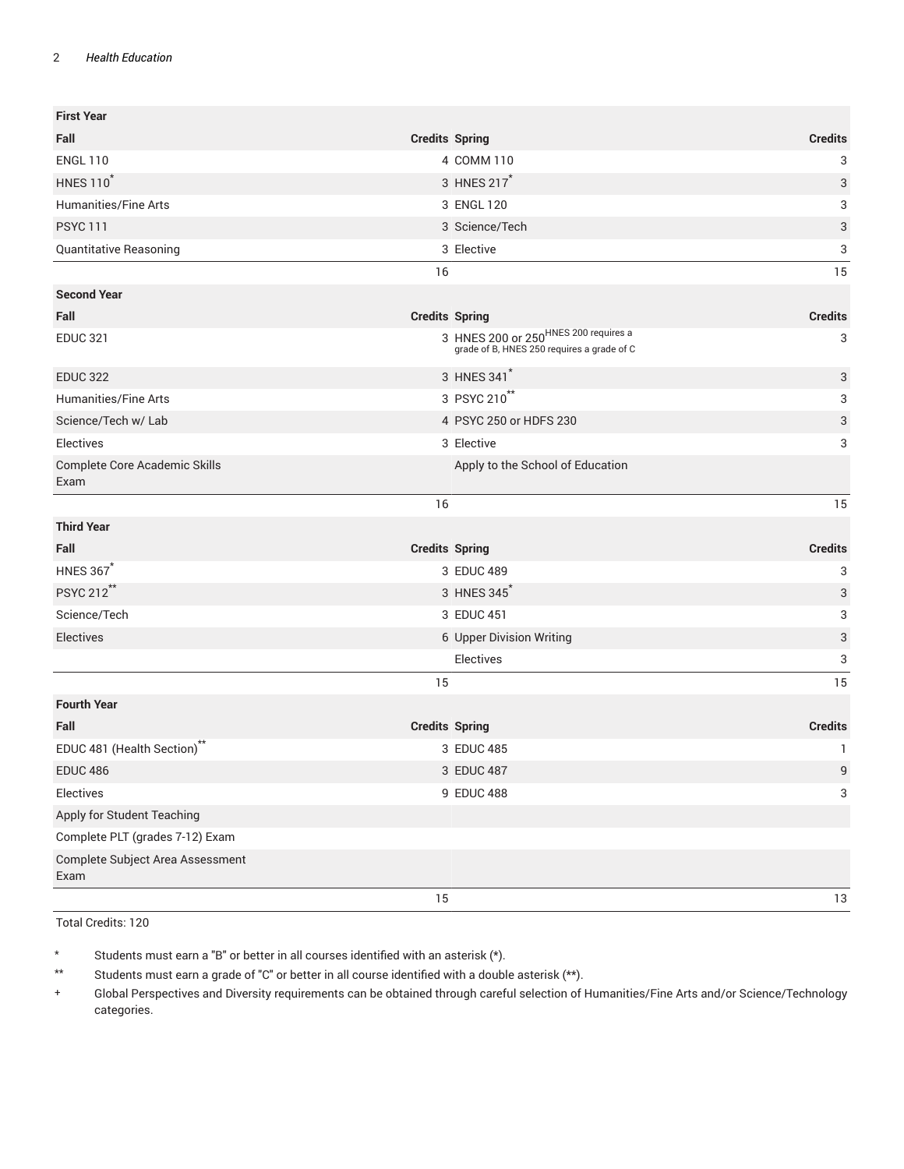#### 2 *Health Education*

| <b>First Year</b>                        |                       |                                                                                                |                |
|------------------------------------------|-----------------------|------------------------------------------------------------------------------------------------|----------------|
| Fall                                     | <b>Credits Spring</b> |                                                                                                | <b>Credits</b> |
| <b>ENGL 110</b>                          |                       | 4 COMM 110                                                                                     | 3              |
| <b>HNES 110</b> <sup>*</sup>             |                       | 3 HNES 217*                                                                                    | 3              |
| Humanities/Fine Arts                     |                       | 3 ENGL 120                                                                                     | 3              |
| <b>PSYC 111</b>                          |                       | 3 Science/Tech                                                                                 | 3              |
| Quantitative Reasoning                   |                       | 3 Elective                                                                                     | 3              |
|                                          | 16                    |                                                                                                | 15             |
| <b>Second Year</b>                       |                       |                                                                                                |                |
| Fall                                     | <b>Credits Spring</b> |                                                                                                | <b>Credits</b> |
| <b>EDUC 321</b>                          |                       | 3 HNES 200 or 250 <sup>HNES 200</sup> requires a<br>grade of B, HNES 250 requires a grade of C | 3              |
| <b>EDUC 322</b>                          |                       | 3 HNES 341                                                                                     | 3              |
| Humanities/Fine Arts                     |                       | 3 PSYC 210 <sup>**</sup>                                                                       | 3              |
| Science/Tech w/ Lab                      |                       | 4 PSYC 250 or HDFS 230                                                                         | 3              |
| Electives                                |                       | 3 Elective                                                                                     | 3              |
| Complete Core Academic Skills<br>Exam    |                       | Apply to the School of Education                                                               |                |
|                                          | 16                    |                                                                                                | 15             |
| <b>Third Year</b>                        |                       |                                                                                                |                |
| Fall                                     | <b>Credits Spring</b> |                                                                                                | <b>Credits</b> |
| <b>HNES 367*</b>                         |                       | 3 EDUC 489                                                                                     | 3              |
| PSYC 212**                               |                       | 3 HNES 345                                                                                     | 3              |
| Science/Tech                             |                       | 3 EDUC 451                                                                                     | 3              |
| Electives                                |                       | 6 Upper Division Writing                                                                       | 3              |
|                                          |                       | Electives                                                                                      | 3              |
|                                          | 15                    |                                                                                                | 15             |
| <b>Fourth Year</b>                       |                       |                                                                                                |                |
| Fall                                     | <b>Credits Spring</b> |                                                                                                | <b>Credits</b> |
| EDUC 481 (Health Section) <sup>**</sup>  |                       | 3 EDUC 485                                                                                     | 1              |
| <b>EDUC 486</b>                          |                       | 3 EDUC 487                                                                                     | $9\,$          |
| Electives                                |                       | 9 EDUC 488                                                                                     | $\sqrt{3}$     |
| Apply for Student Teaching               |                       |                                                                                                |                |
| Complete PLT (grades 7-12) Exam          |                       |                                                                                                |                |
| Complete Subject Area Assessment<br>Exam |                       |                                                                                                |                |
|                                          | 15                    |                                                                                                | 13             |

Total Credits: 120

\* Students must earn a "B" or better in all courses identified with an asterisk (\*).

\*\* Students must earn a grade of "C" or better in all course identified with a double asterisk (\*\*).

+ Global Perspectives and Diversity requirements can be obtained through careful selection of Humanities/Fine Arts and/or Science/Technology categories.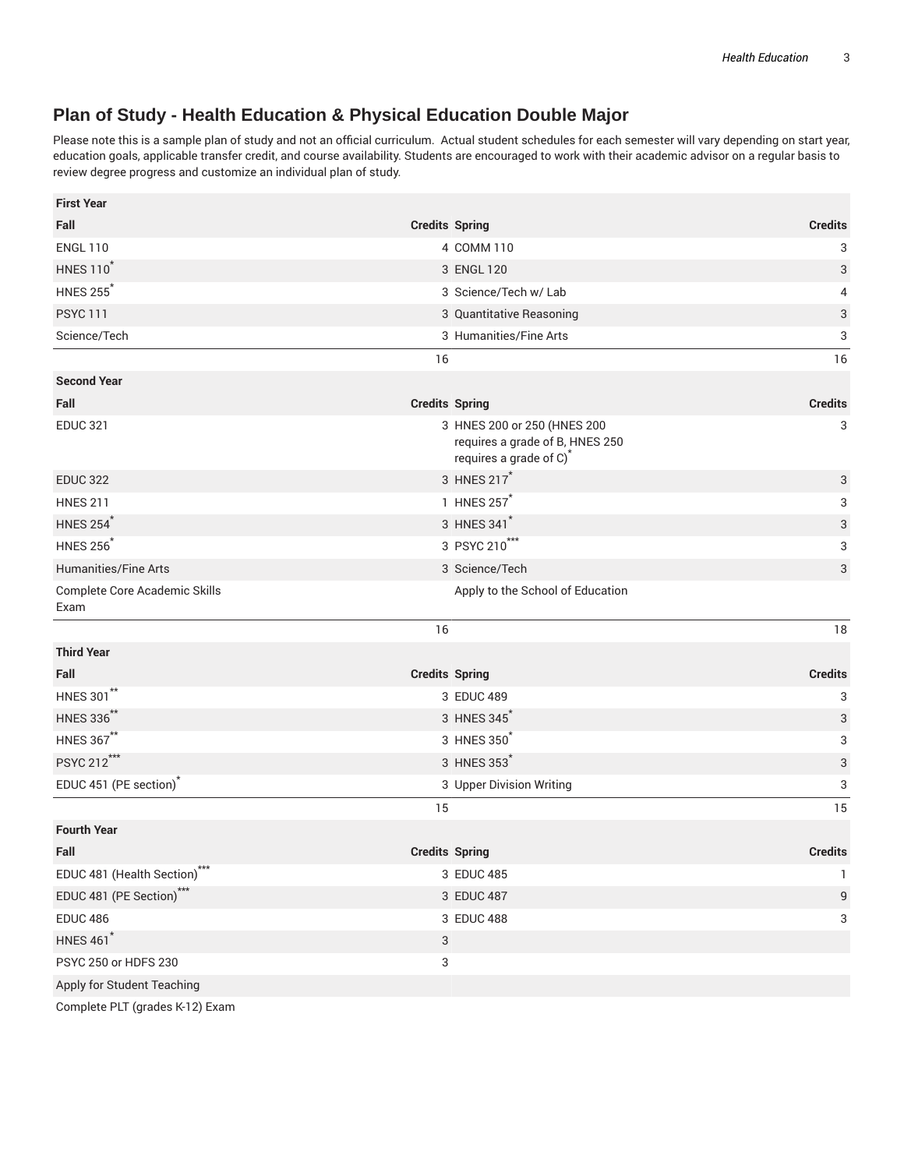# **Plan of Study - Health Education & Physical Education Double Major**

Please note this is a sample plan of study and not an official curriculum. Actual student schedules for each semester will vary depending on start year, education goals, applicable transfer credit, and course availability. Students are encouraged to work with their academic advisor on a regular basis to review degree progress and customize an individual plan of study.

| <b>First Year</b>                     |                                                                                                       |                |
|---------------------------------------|-------------------------------------------------------------------------------------------------------|----------------|
| Fall                                  | <b>Credits Spring</b>                                                                                 | <b>Credits</b> |
| <b>ENGL 110</b>                       | 4 COMM 110                                                                                            | 3              |
| <b>HNES 110<sup>*</sup></b>           | 3 ENGL 120                                                                                            | 3              |
| <b>HNES 255<sup>*</sup></b>           | 3 Science/Tech w/ Lab                                                                                 | 4              |
| <b>PSYC 111</b>                       | 3 Quantitative Reasoning                                                                              | 3              |
| Science/Tech                          | 3 Humanities/Fine Arts                                                                                | 3              |
|                                       | 16                                                                                                    | 16             |
| <b>Second Year</b>                    |                                                                                                       |                |
| Fall                                  | <b>Credits Spring</b>                                                                                 | <b>Credits</b> |
| <b>EDUC 321</b>                       | 3 HNES 200 or 250 (HNES 200<br>requires a grade of B, HNES 250<br>requires a grade of C) <sup>*</sup> | 3              |
| <b>EDUC 322</b>                       | 3 HNES 217*                                                                                           | 3              |
| <b>HNES 211</b>                       | 1 HNES 257                                                                                            | 3              |
| <b>HNES 254</b>                       | 3 HNES 341                                                                                            | 3              |
| <b>HNES 256</b> <sup>*</sup>          | 3 PSYC 210***                                                                                         | 3              |
| <b>Humanities/Fine Arts</b>           | 3 Science/Tech                                                                                        | 3              |
| Complete Core Academic Skills<br>Exam | Apply to the School of Education                                                                      |                |
|                                       | 16                                                                                                    | 18             |
| <b>Third Year</b>                     |                                                                                                       |                |
| Fall                                  | <b>Credits Spring</b>                                                                                 | <b>Credits</b> |
| <b>HNES 301**</b>                     | 3 EDUC 489                                                                                            | 3              |
| <b>HNES 336**</b>                     | 3 HNES 345                                                                                            | 3              |
| <b>HNES 367**</b>                     | 3 HNES 350                                                                                            | 3              |
| PSYC 212***                           | 3 HNES 353                                                                                            | 3              |
| EDUC 451 (PE section) <sup>*</sup>    | 3 Upper Division Writing                                                                              | 3              |
|                                       | 15                                                                                                    | 15             |
| <b>Fourth Year</b>                    |                                                                                                       |                |
| Fall                                  | <b>Credits Spring</b>                                                                                 | <b>Credits</b> |
| EDUC 481 (Health Section)***          | 3 EDUC 485                                                                                            | 1              |
| EDUC 481 (PE Section)***              | 3 EDUC 487                                                                                            | 9              |
| <b>EDUC 486</b>                       | 3 EDUC 488                                                                                            | 3              |
| <b>HNES 461</b> *                     | 3                                                                                                     |                |
| PSYC 250 or HDFS 230                  | 3                                                                                                     |                |
| Apply for Student Teaching            |                                                                                                       |                |
|                                       |                                                                                                       |                |

Complete PLT (grades K-12) Exam